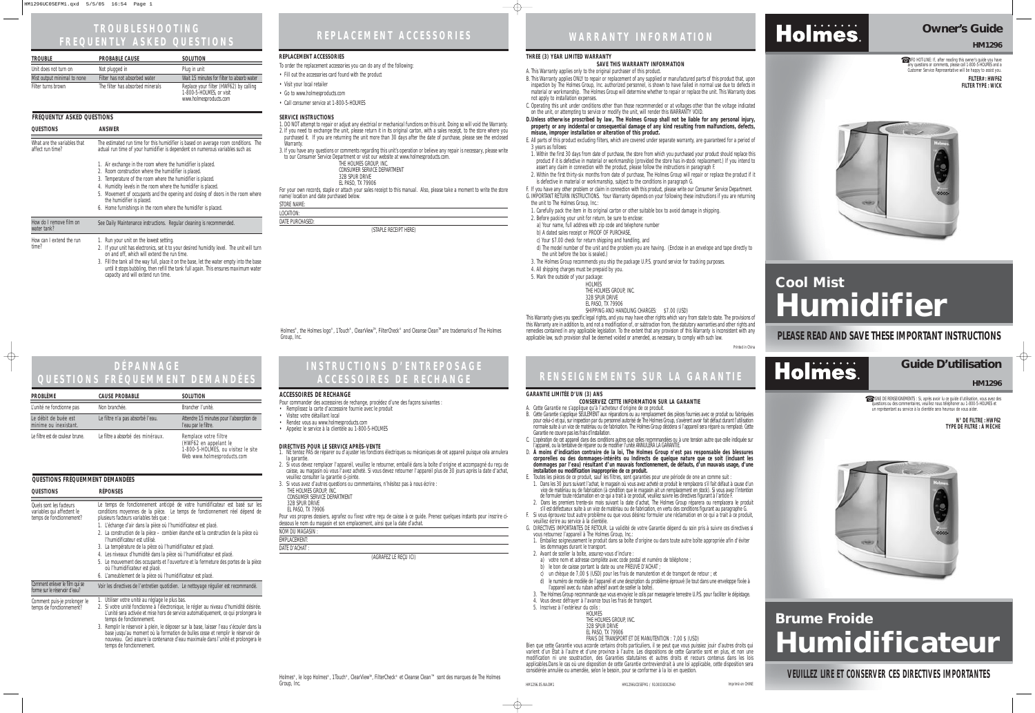### **WARRANTY INFORMATION**

#### **THREE (3) YEAR LIMITED WARRANTY**

#### **SAVE THIS WARRANTY INFORMATION**

A. This Warranty applies only to the original purchaser of this product.

B. This Warranty applies ONLY to repair or replacement of any supplied or manufactured parts of this product that, upon inspection by The Holmes Group, Inc. authorized personnel, is shown to have failed in normal use due to defects in material or workmanship. The Holmes Group will determine whether to repair or replace the unit. This Warranty does not apply to installation expenses.

C. Operating this unit under conditions other than those recommended or at voltages other than the voltage indicated on the unit, or attempting to service or modify the unit, will render this WARRANTY VOID.

**D.Unless otherwise proscribed by law, The Holmes Group shall not be liable for any personal injury, property or any incidental or consequential damage of any kind resulting from malfunctions, defects, misuse, improper installation or alteration of this product.**

E. All parts of this product excluding filters, which are covered under separate warranty, are guaranteed for a period of 3 years as follows:

1. Within the first 30 days from date of purchase, the store from which you purchased your product should replace this product if it is defective in material or workmanship (provided the store has in-stock replacement.) If you intend to assert any claim in connection with the product, please follow the instructions in paragraph F.

2. Within the first thirty-six months from date of purchase, The Holmes Group will repair or replace the product if it is defective in material or workmanship, subject to the conditions in paragraph G.

F. If you have any other problem or claim in connection with this product, please write our Consumer Service Department. G. IMPORTANT RETURN INSTRUCTIONS. Your Warranty depends on your following these instructions if you are returning

1. Carefully pack the item in its original carton or other suitable box to avoid damage in shipping.

2. Before packing your unit for return, be sure to enclose:

a) Your name, full address with zip code and telephone number

b) A dated sales receipt or PROOF OF PURCHASE,

c) Your \$7.00 check for return shipping and handling, and

- the unit to The Holmes Group, Inc.:
- 
- 
- 
- 
- 
- 
- 4. All shipping charges must be prepaid by you.
- 5. Mark the outside of your package:

Holmes®, the Holmes logo®, 1Touch®, ClearView™, FilterCheck® and Cleanse Clean™ are trademarks of The Holmes

d) The model number of the unit and the problem you are having. (Enclose in an envelope and tape directly to the unit before the box is sealed.)

3. The Holmes Group recommends you ship the package U.P.S. ground service for tracking purposes.

HOLMES THE HOLMES GROUP, INC.

32B SPUR DRIVE

EL PASO, TX 79906

SHIPPING AND HANDLING CHARGES: \$7.00 (USD)

This Warranty gives you specific legal rights, and you may have other rights which vary from state to state. The provisions of

this Warranty are in addition to, and not a modification of, or subtraction from, the statutory warranties and other rights and remedies contained in any applicable legislation. To the extent that any provision of this Warranty is inconsistent with any applicable law, such provision shall be deemed voided or amended, as necessary, to comply with such law.

Printed in China

#### **Owner's Guide**

**HM1296**

☎INFO HOT-LINE: If, after reading this owner's guide you have any questions or comments, please call 1-800-5-HOLMES and a Customer Service Representative will be happy to assist you. **FILTER# : HWF62**

# **Cool Mist Humidifier**

#### Group, Inc. **PLEASE READ AND SAVE THESE IMPORTANT INSTRUCTIONS**



Holmes.

**FILTER TYPE : WICK**



| <b>TROUBLE</b>              | <b>PROBABLE CAUSE</b>            | <b>SOLUTION</b>                                                                              |
|-----------------------------|----------------------------------|----------------------------------------------------------------------------------------------|
| Unit does not turn on       | Not plugged in                   | Plug in unit                                                                                 |
| Mist output minimal to none | Filter has not absorbed water    | Wait 15 minutes for filter to absorb water                                                   |
| Filter turns brown          | The filter has absorbed minerals | Replace your filter (HWF62) by calling<br>1-800-5-HOLMES, or visit<br>www.holmesproducts.com |

- -
	-
	-
	- -
		-
		-
	-
	-
	-
	-
	-
	-
	-
	-
	-
	-
	-
	-

### **REPLACEMENT ACCESSORIES**

#### **SERVICE INSTRUCTIONS**

- 1. DO NOT attempt to repair or adjust any electrical or mechanical functions on this unit. Doing so will void the Warranty. 2. If you need to exchange the unit, please return it in its original carton, with a sales receipt, to the store where you purchased it. If you are returning the unit more than 30 days after the date of purchase, please see the enclosed **Warranty**
- 3. If you have any questions or comments regarding this unit's operation or believe any repair is necessary, please write to our Consumer Service Department or visit our website at www.holmesproducts.com.

| THE HOLMES GROUP. INC.      |
|-----------------------------|
| CONSUMER SERVICE DEPARTMENT |
| 32B SPUR DRIVE              |
| $F1$ DACO TV JOOOL          |

EL PASO, TX 79906

For your own records, staple or attach your sales receipt to this manual. Also, please take a moment to write the store name/location and date purchased below.

STORE NAME:

LOCATION:

DATE PURCHASED:

(STAPLE RECEIPT HERE)

#### **REPLACEMENT ACCESSORIES**

To order the replacement accessories you can do any of the following:

- Fill out the accessories card found with the product
- Visit your local retailer
- Go to www.holmesproducts.com
- Call consumer service at 1-800-5-HOLMES

### **TROUBLESHOOTING FREQUENTLY ASKED QUESTIONS**

| <b>FREQUENTLY ASKED QUESTIONS</b>               |                                                                                                                                                                                                                                                                                                                                                                                                                                         |  |
|-------------------------------------------------|-----------------------------------------------------------------------------------------------------------------------------------------------------------------------------------------------------------------------------------------------------------------------------------------------------------------------------------------------------------------------------------------------------------------------------------------|--|
| <b>QUESTIONS</b>                                | ANSWER                                                                                                                                                                                                                                                                                                                                                                                                                                  |  |
| What are the variables that<br>affect run time? | The estimated run time for this humidifier is based on average room conditions. The<br>actual run time of your humidifier is dependent on numerous variables such as:                                                                                                                                                                                                                                                                   |  |
|                                                 | 1. Air exchange in the room where the humidifier is placed.<br>2. Room construction where the humidifier is placed.<br>3. Temperature of the room where the humidifier is placed.<br>Humidity levels in the room where the humidifer is placed.<br>4.<br>5. Movement of occupants and the opening and closing of doors in the room where<br>the humidifier is placed.<br>6. Home furnishings in the room where the humidifer is placed. |  |
| How do I remove film on<br>water tank?          | See Daily Maintenance instructions. Regular cleaning is recommended.                                                                                                                                                                                                                                                                                                                                                                    |  |
| How can I extend the run<br>time?               | 1. Run your unit on the lowest setting.<br>2. If your unit has electronics, set it to your desired humidity level. The unit will turn<br>on and off, which will extend the run time.                                                                                                                                                                                                                                                    |  |

3. Fill the tank all the way full, place it on the base, let the water empty into the base until it stops bubbling, then refill the tank full again. This ensures maximum water capacity and will extend run time.

#### **DIRECTIVES POUR LE SERVICE APRÈS-VENTE**  1. NE tentez PAS de réparer ou d'ajuster les fonctions électriques ou mécaniques de cet appareil puisque cela annulera

- la garantie. 2. Si vous devez remplacer l'appareil, veuillez le retourner, emballé dans la boîte d'origine et accompagné du reçu de caisse, au magasin où vous l'avez acheté. Si vous devez retourner l'appareil plus de 30 jours après la date d'achat, veuillez consulter la garantie ci-jointe.
- 3. Si vous avez d'autres questions ou commentaires, n'hésitez pas à nous écrire : THE HOLMES GROUP, INC.
- CONSUMER SERVICE DEPARTMENT
- 32B SPUR DRIVE

EL PASO, TX 79906

Pour vos propres dossiers, agrafez ou fixez votre reçu de caisse à ce guide. Prenez quelques instants pour inscrire cidessous le nom du magasin et son emplacement, ainsi que la date d'achat.

| NOM DU MAGASIN :    |                                     |  |
|---------------------|-------------------------------------|--|
| <b>EMPLACEMENT:</b> |                                     |  |
| DATE D'ACHAT :      |                                     |  |
|                     | $(A \cap B \cap T)$ if $D(A)$ $(A)$ |  |

(AGRAFEZ LE REÇU ICI)

#### **ACCESSOIRES DE RECHANGE**

Pour commander des accessoires de rechange, procédez d'une des façons suivantes :

• Remplissez la carte d'accessoire fournie avec le produit

- Visitez votre détaillant local
- Rendez vous au www.holmesproducts.com
- Appelez le service à la clientèle au 1-800-5-HOLMES

#### **INSTRUCTIONS D'ENTREPOSAGE ACCESSOIRES DE RECHANGE**

### **RENSEIGNEMENTS SUR LA GARANTIE**

#### **GARANTIE LIMITÉE D'UN (3) ANS**

**CONSERVEZ CETTE INFORMATION SUR LA GARANTIE**

A. Cette Garantie ne s'applique qu'à l'acheteur d'origine de ce produit. B. Cette Garantie s'applique SEULEMENT aux réparations ou au remplacement des pièces fournies avec ce produit ou fabriquées pour celui-ci et qui, sur inspection par du personnel autorisé de The Holmes Group, s'avèrent avoir fait défaut durant l'utilisation normale suite à un vice de matériau ou de fabrication. The Holmes Group décidera si l'appareil sera réparé ou remplacé. Cette

Garantie ne couvre pas les frais d'installation. C. L'opération de cet appareil dans des conditions autres que celles recommandées ou à une tension autre que celle indiquée sur

l'appareil, ou la tentative de réparer ou de modifier l'unité ANNULERA LA GARANTIE. D. **À moins d'indication contraire de la loi, The Holmes Group n'est pas responsable des blessures corporelles ou des dommages-intérêts ou Indirects de quelque nature que ce soit (incluant les dommages par l'eau) résultant d'un mauvais fonctionnement, de défauts, d'un mauvais usage, d'une installation ou modification inappropriée de ce produit.**

E. Toutes les pièces de ce produit, sauf les filtres, sont garanties pour une période de one an comme suit :

1. Dans les 30 jours suivant l'achat, le magasin où vous avez acheté ce produit le remplacera s'il fait défaut à cause d'un vice de matériau ou de fabrication (à condition que le magasin ait un remplacement en stock). Si vous avez l'intention de formuler toute réclamation en ce qui a trait à ce produit, veuillez suivre les directives figurant à l'article F.

2. Dans les premiers trente-six mois suivant la date d'achat, The Holmes Group réparera ou remplacera le produit s'il est défectueux suite à un vice de matériau ou de fabrication, en vertu des conditions figurant au paragraphe G. F. Si vous éprouvez tout autre problème ou que vous désirez formuler une réclamation en ce qui a trait à ce produit, veuillez écrire au service à la clientèle.

G. DIRECTIVES IMPORTANTES DE RETOUR. La validité de votre Garantie dépend du soin pris à suivre ces directives si vous retournez l'appareil à The Holmes Group, Inc.:

1. Emballez soigneusement le produit dans sa boîte d'origine ou dans toute autre boîte appropriée afin d'éviter les dommages durant le transport.

2. Avant de sceller la boîte, assurez-vous d'inclure :

a) votre nom et adresse complète avec code postal et numéro de téléphone ;

b) le bon de caisse portant la date ou une PREUVE D'ACHAT

c) un chèque de 7,00 \$ (USD) pour les frais de manutention et de transport de retour ; et

d) le numéro de modèle de l'appareil et une description du problème éprouvé (le tout dans une enveloppe fixée à<br>l'appareil avec du ruban adhésif avant de sceller la boîte).

3. The Holmes Group recommande que vous envoyiez le colis par messagerie terrestre U.P.S. pour faciliter le dépistage. 4. Vous devez défrayer à l'avance tous les frais de transport.

- 
- 
- -
	-
- 
- 
- 
- 
- 
- 
- 
- 
- 
- 
- 
- 5. Inscrivez à l'extérieur du colis :
- 

HOLMES

THE HOLMES GROUP, INC.

32B SPUR DRIVE

EL PASO, TX 79906

FRAIS DE TRANSPORT ET DE MANUTENTION : 7,00 \$ (USD)

Bien que cette Garantie vous accorde certains droits particuliers, il se peut que vous puissiez jouir d'autres droits qui varient d'un État à l'autre et d'une province à l'autre. Les dispositions de cette Garantie sont en plus, et non une modification ni une soustraction, des Garanties statutaires et autres droits et recours contenus dans les lois applicables.Dans le cas où une disposition de cette Garantie contreviendrait à une loi applicable, cette disposition sera considérée annulée ou amendée, selon le besoin, pour se conformer à la loi en question.

**VEUILLEZ LIRE ET CONSERVER CES DIRECTIVES IMPORTANTES**

#### **Guide D'utilisation**

☎ LIGNE DE RENSEIGNEMENTS : Si, après avoir lu ce guide d'utilisation, vous avez des questions ou des commentaires, veuillez nous téléphoner au 1-800-5-HOLMES et un représentant au service à la clientèle sera heureux de vous aider.

# **Brume Froide Humidificateur**

#### **HM1296**

**N° DE FILTRE : HWF62 TYPE DE FILTRE : À MÈCHE**



#### **DÉPANNAGE QUESTIONS FRÉQUEMMENT DEMANDÉES**

#### **QUESTIONS FRÉQUEMMENT DEMANDÉES**

 $\bigoplus$ 

| <b>QUESTIONS</b>                                                                         | <b>RÉPONSES</b>                                                                                                                                                                                                                                                                                                                                                                                                                                                                                                                                                                                                                                                                                                                    |
|------------------------------------------------------------------------------------------|------------------------------------------------------------------------------------------------------------------------------------------------------------------------------------------------------------------------------------------------------------------------------------------------------------------------------------------------------------------------------------------------------------------------------------------------------------------------------------------------------------------------------------------------------------------------------------------------------------------------------------------------------------------------------------------------------------------------------------|
| <b>Quels sont les facteurs</b><br>variables qui affectent le<br>temps de fonctionnement? | Le temps de fonctionnement anticipé de votre humidificateur est basé sur les<br>conditions moyennes de la pièce. Le temps de fonctionnement réel dépend de<br>plusieurs facteurs variables tels que :<br>1. L'échange d'air dans la pièce où l'humidificateur est placé.<br>2. La construction de la pièce - combien étanche est la construction de la pièce où<br>l'humidificateur est utilisé.<br>3. La température de la pièce où l'humidificateur est placé.<br>4. Les niveaux d'humidité dans la pièce où l'humidificateur est placé.<br>5. Le mouvement des occupants et l'ouverture et la fermeture des portes de la pièce<br>où l'humidificateur est placé.<br>6. L'ameublement de la pièce où l'humidificateur est placé. |
| Comment enlever le film qui se<br>forme sur le réservoir d'eau?                          | Voir les directives de l'entretien quotidien. Le nettoyage régulier est recommandé.                                                                                                                                                                                                                                                                                                                                                                                                                                                                                                                                                                                                                                                |
| Comment puis-je prolonger le<br>temps de fonctionnement?                                 | 1. Utiliser votre unité au réglage le plus bas.<br>2. Si votre unité fonctionne à l'électronique, le régler au niveau d'humidité désirée.<br>L'unité sera activée et mise hors de service automatiquement, ce qui prolongera le<br>temps de fonctionnement.<br>3. Remplir le réservoir à plein, le déposer sur la base, laisser l'eau s'écouler dans la<br>base jusqu'au moment où la formation de bulles cesse et remplir le réservoir de<br>nouveau. Ceci assure la contenance d'eau maximale dans l'unité et prolongera le<br>temps de fonctionnement.                                                                                                                                                                          |

| <b>PROBLÈME</b>                               | <b>CAUSE PROBABLE</b>             | <b>SOLUTION</b>                                                                                                    |
|-----------------------------------------------|-----------------------------------|--------------------------------------------------------------------------------------------------------------------|
| L'unité ne fonctionne pas                     | Non branchée.                     | Brancher l'unité.                                                                                                  |
| Le débit de buée est<br>minime ou inexistant. | Le filtre n'a pas absorbé l'eau.  | Attendre 15 minutes pour l'absorption de<br>l'eau par le filtre.                                                   |
| Le filtre est de couleur brune.               | Le filtre a absorbé des minéraux. | Remplace votre filtre<br>(HWF62 en appelant le<br>1-800-5-HOLMES, ou visitez le site<br>Web www.holmesproducts.com |